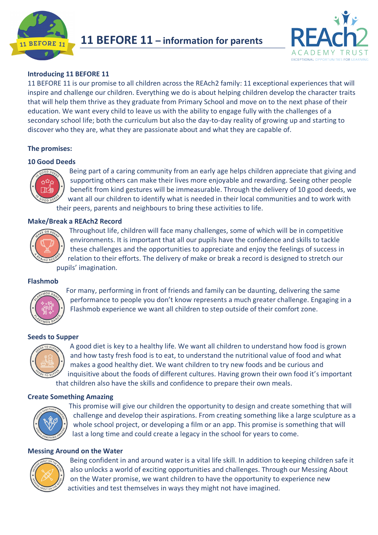



# **Introducing 11 BEFORE 11**

11 BEFORE 11 is our promise to all children across the REAch2 family: 11 exceptional experiences that will inspire and challenge our children. Everything we do is about helping children develop the character traits that will help them thrive as they graduate from Primary School and move on to the next phase of their education. We want every child to leave us with the ability to engage fully with the challenges of a secondary school life; both the curriculum but also the day-to-day reality of growing up and starting to discover who they are, what they are passionate about and what they are capable of.

# **The promises:**

# **10 Good Deeds**



Being part of a caring community from an early age helps children appreciate that giving and supporting others can make their lives more enjoyable and rewarding. Seeing other people benefit from kind gestures will be immeasurable. Through the delivery of 10 good deeds, we want all our children to identify what is needed in their local communities and to work with their peers, parents and neighbours to bring these activities to life.

## **Make/Break a REAch2 Record**



Throughout life, children will face many challenges, some of which will be in competitive environments. It is important that all our pupils have the confidence and skills to tackle these challenges and the opportunities to appreciate and enjoy the feelings of success in relation to their efforts. The delivery of make or break a record is designed to stretch our pupils' imagination.

#### **Flashmob**



For many, performing in front of friends and family can be daunting, delivering the same performance to people you don't know represents a much greater challenge. Engaging in a Flashmob experience we want all children to step outside of their comfort zone.

#### **Seeds to Supper**



A good diet is key to a healthy life. We want all children to understand how food is grown and how tasty fresh food is to eat, to understand the nutritional value of food and what makes a good healthy diet. We want children to try new foods and be curious and inquisitive about the foods of different cultures. Having grown their own food it's important that children also have the skills and confidence to prepare their own meals.

## **Create Something Amazing**



This promise will give our children the opportunity to design and create something that will challenge and develop their aspirations. From creating something like a large sculpture as a whole school project, or developing a film or an app. This promise is something that will last a long time and could create a legacy in the school for years to come.

## **Messing Around on the Water**



Being confident in and around water is a vital life skill. In addition to keeping children safe it also unlocks a world of exciting opportunities and challenges. Through our Messing About on the Water promise, we want children to have the opportunity to experience new activities and test themselves in ways they might not have imagined.